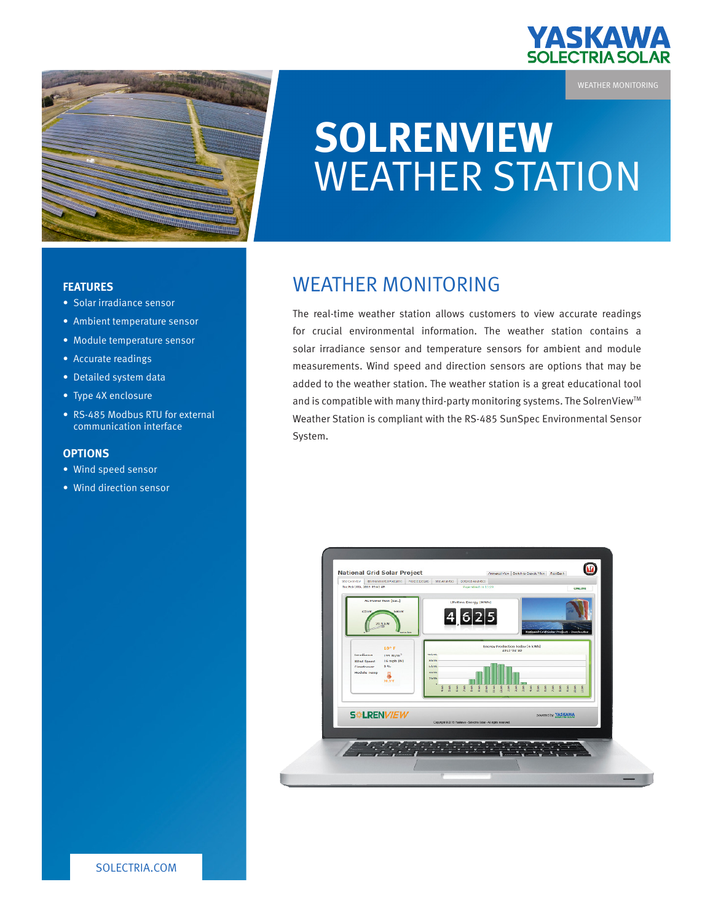

### WEATHER MONITORING

# **SOLRENVIEW**  WEATHER STATION

#### **FEATURES**

- • Solar irradiance sensor
- Ambient temperature sensor
- Module temperature sensor
- • Accurate readings
- Detailed system data
- Type 4X enclosure
- RS-485 Modbus RTU for external communication interface

#### **OPTIONS**

- • Wind speed sensor
- • Wind direction sensor

## WEATHER MONITORING

The real-time weather station allows customers to view accurate readings for crucial environmental information. The weather station contains a solar irradiance sensor and temperature sensors for ambient and module measurements. Wind speed and direction sensors are options that may be added to the weather station. The weather station is a great educational tool and is compatible with many third-party monitoring systems. The SolrenView™ Weather Station is compliant with the RS-485 SunSpec Environmental Sensor System.